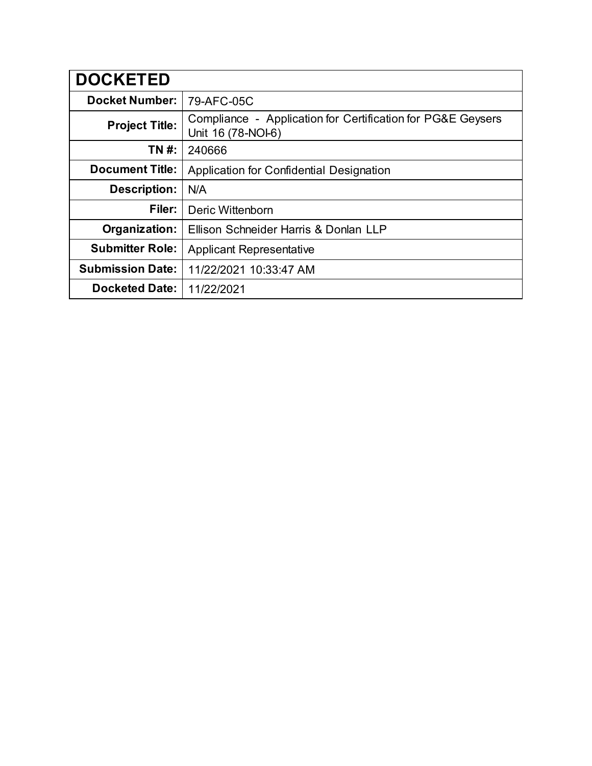| <b>DOCKETED</b>         |                                                                                   |
|-------------------------|-----------------------------------------------------------------------------------|
| <b>Docket Number:</b>   | 79-AFC-05C                                                                        |
| <b>Project Title:</b>   | Compliance - Application for Certification for PG&E Geysers<br>Unit 16 (78-NOI-6) |
| TN #:                   | 240666                                                                            |
| <b>Document Title:</b>  | Application for Confidential Designation                                          |
| <b>Description:</b>     | N/A                                                                               |
| Filer:                  | Deric Wittenborn                                                                  |
| Organization:           | Ellison Schneider Harris & Donlan LLP                                             |
| <b>Submitter Role:</b>  | <b>Applicant Representative</b>                                                   |
| <b>Submission Date:</b> | 11/22/2021 10:33:47 AM                                                            |
| <b>Docketed Date:</b>   | 11/22/2021                                                                        |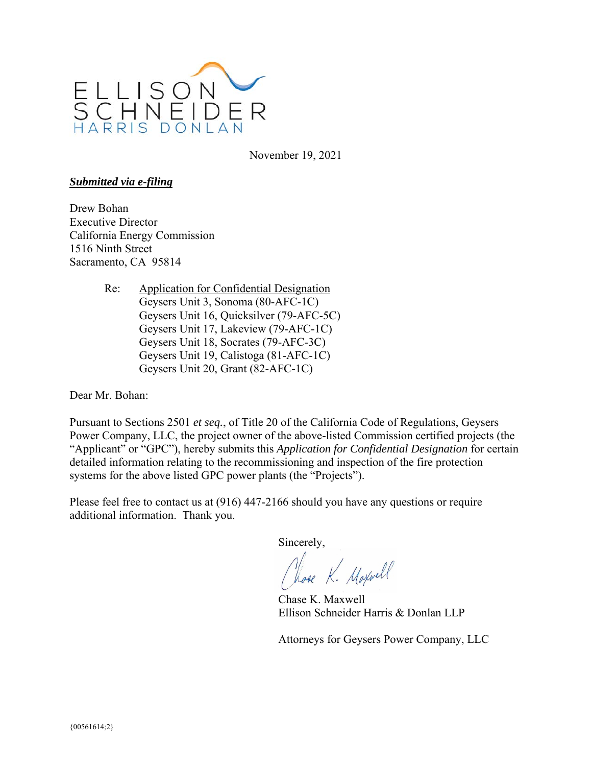

November 19, 2021

## *Submitted via e-filing*

Drew Bohan Executive Director California Energy Commission 1516 Ninth Street Sacramento, CA 95814

> Re: Application for Confidential Designation Geysers Unit 3, Sonoma (80-AFC-1C) Geysers Unit 16, Quicksilver (79-AFC-5C) Geysers Unit 17, Lakeview (79-AFC-1C) Geysers Unit 18, Socrates (79-AFC-3C) Geysers Unit 19, Calistoga (81-AFC-1C) Geysers Unit 20, Grant (82-AFC-1C)

Dear Mr. Bohan:

Pursuant to Sections 2501 *et seq.*, of Title 20 of the California Code of Regulations, Geysers Power Company, LLC, the project owner of the above-listed Commission certified projects (the "Applicant" or "GPC"), hereby submits this *Application for Confidential Designation* for certain detailed information relating to the recommissioning and inspection of the fire protection systems for the above listed GPC power plants (the "Projects").

Please feel free to contact us at (916) 447-2166 should you have any questions or require additional information. Thank you.

Sincerely,

Close K. Maxwell

Chase K. Maxwell Ellison Schneider Harris & Donlan LLP

Attorneys for Geysers Power Company, LLC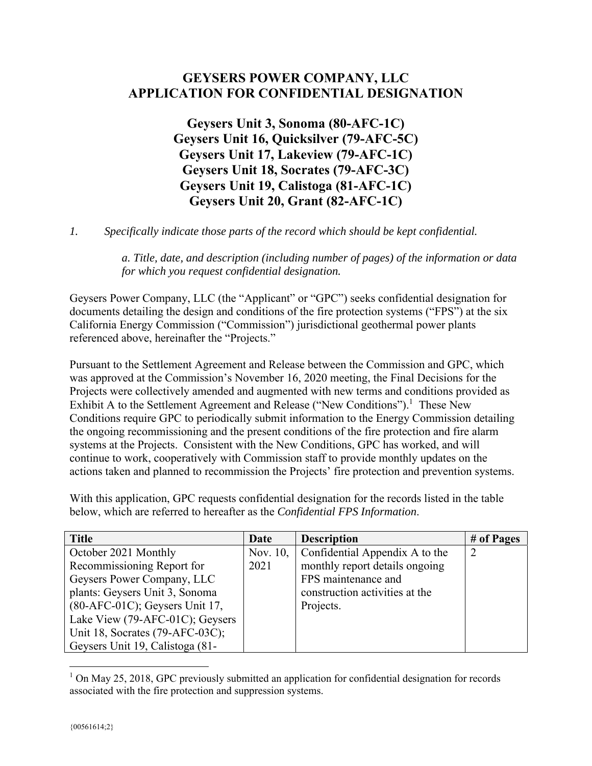## **GEYSERS POWER COMPANY, LLC APPLICATION FOR CONFIDENTIAL DESIGNATION**

**Geysers Unit 3, Sonoma (80-AFC-1C) Geysers Unit 16, Quicksilver (79-AFC-5C) Geysers Unit 17, Lakeview (79-AFC-1C) Geysers Unit 18, Socrates (79-AFC-3C) Geysers Unit 19, Calistoga (81-AFC-1C) Geysers Unit 20, Grant (82-AFC-1C)** 

*1. Specifically indicate those parts of the record which should be kept confidential.*

*a. Title, date, and description (including number of pages) of the information or data for which you request confidential designation.* 

Geysers Power Company, LLC (the "Applicant" or "GPC") seeks confidential designation for documents detailing the design and conditions of the fire protection systems ("FPS") at the six California Energy Commission ("Commission") jurisdictional geothermal power plants referenced above, hereinafter the "Projects."

Pursuant to the Settlement Agreement and Release between the Commission and GPC, which was approved at the Commission's November 16, 2020 meeting, the Final Decisions for the Projects were collectively amended and augmented with new terms and conditions provided as Exhibit A to the Settlement Agreement and Release ("New Conditions").<sup>1</sup> These New Conditions require GPC to periodically submit information to the Energy Commission detailing the ongoing recommissioning and the present conditions of the fire protection and fire alarm systems at the Projects. Consistent with the New Conditions, GPC has worked, and will continue to work, cooperatively with Commission staff to provide monthly updates on the actions taken and planned to recommission the Projects' fire protection and prevention systems.

With this application, GPC requests confidential designation for the records listed in the table below, which are referred to hereafter as the *Confidential FPS Information*.

| <b>Title</b>                    | Date | <b>Description</b>                      | # of Pages |
|---------------------------------|------|-----------------------------------------|------------|
| October 2021 Monthly            |      | Nov. 10, Confidential Appendix A to the |            |
| Recommissioning Report for      | 2021 | monthly report details ongoing          |            |
| Geysers Power Company, LLC      |      | FPS maintenance and                     |            |
| plants: Geysers Unit 3, Sonoma  |      | construction activities at the          |            |
| (80-AFC-01C); Geysers Unit 17,  |      | Projects.                               |            |
| Lake View (79-AFC-01C); Geysers |      |                                         |            |
| Unit 18, Socrates (79-AFC-03C); |      |                                         |            |
| Geysers Unit 19, Calistoga (81- |      |                                         |            |

<sup>&</sup>lt;sup>1</sup> On May 25, 2018, GPC previously submitted an application for confidential designation for records associated with the fire protection and suppression systems.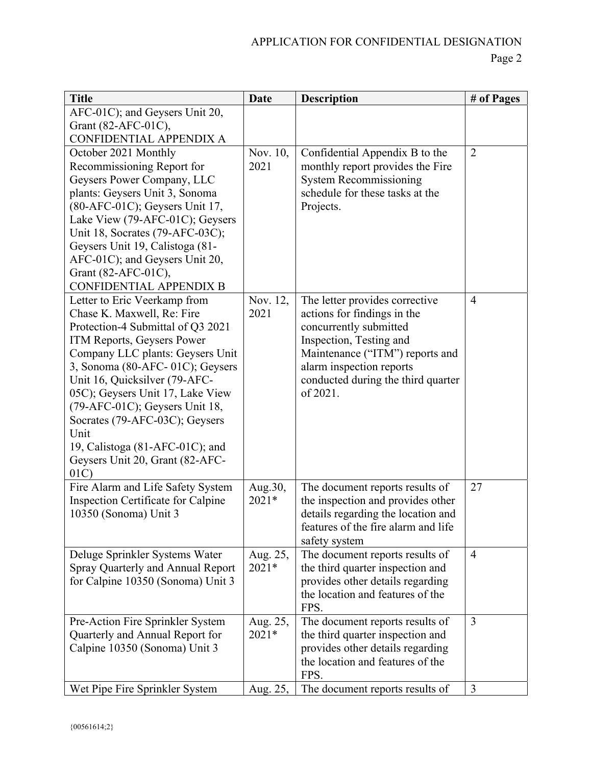| <b>Title</b>                       | <b>Date</b> | <b>Description</b>                                                   | # of Pages     |
|------------------------------------|-------------|----------------------------------------------------------------------|----------------|
| AFC-01C); and Geysers Unit 20,     |             |                                                                      |                |
| Grant (82-AFC-01C),                |             |                                                                      |                |
| CONFIDENTIAL APPENDIX A            |             |                                                                      |                |
| October 2021 Monthly               | Nov. 10,    | Confidential Appendix B to the                                       | $\overline{2}$ |
| Recommissioning Report for         | 2021        | monthly report provides the Fire                                     |                |
| Geysers Power Company, LLC         |             | <b>System Recommissioning</b>                                        |                |
| plants: Geysers Unit 3, Sonoma     |             | schedule for these tasks at the                                      |                |
| $(80-AFC-01C)$ ; Geysers Unit 17,  |             | Projects.                                                            |                |
| Lake View (79-AFC-01C); Geysers    |             |                                                                      |                |
| Unit 18, Socrates (79-AFC-03C);    |             |                                                                      |                |
| Geysers Unit 19, Calistoga (81-    |             |                                                                      |                |
| AFC-01C); and Geysers Unit 20,     |             |                                                                      |                |
| Grant (82-AFC-01C),                |             |                                                                      |                |
| CONFIDENTIAL APPENDIX B            |             |                                                                      |                |
| Letter to Eric Veerkamp from       | Nov. 12,    | The letter provides corrective                                       | $\overline{4}$ |
| Chase K. Maxwell, Re: Fire         | 2021        | actions for findings in the                                          |                |
| Protection-4 Submittal of Q3 2021  |             | concurrently submitted                                               |                |
| ITM Reports, Geysers Power         |             | Inspection, Testing and                                              |                |
| Company LLC plants: Geysers Unit   |             | Maintenance ("ITM") reports and                                      |                |
| 3, Sonoma (80-AFC-01C); Geysers    |             | alarm inspection reports                                             |                |
| Unit 16, Quicksilver (79-AFC-      |             | conducted during the third quarter                                   |                |
| 05C); Geysers Unit 17, Lake View   |             | of 2021.                                                             |                |
| (79-AFC-01C); Geysers Unit 18,     |             |                                                                      |                |
| Socrates (79-AFC-03C); Geysers     |             |                                                                      |                |
| Unit                               |             |                                                                      |                |
| 19, Calistoga $(81-AFC-01C)$ ; and |             |                                                                      |                |
| Geysers Unit 20, Grant (82-AFC-    |             |                                                                      |                |
| 01C                                |             |                                                                      |                |
| Fire Alarm and Life Safety System  | Aug.30,     | The document reports results of                                      | 27             |
| Inspection Certificate for Calpine | 2021*       | the inspection and provides other                                    |                |
| 10350 (Sonoma) Unit 3              |             | details regarding the location and                                   |                |
|                                    |             | features of the fire alarm and life                                  |                |
|                                    |             | safety system                                                        |                |
| Deluge Sprinkler Systems Water     | Aug. 25,    | The document reports results of                                      | $\overline{4}$ |
| Spray Quarterly and Annual Report  | 2021*       | the third quarter inspection and                                     |                |
| for Calpine 10350 (Sonoma) Unit 3  |             | provides other details regarding<br>the location and features of the |                |
|                                    |             | FPS.                                                                 |                |
| Pre-Action Fire Sprinkler System   | Aug. 25,    | The document reports results of                                      | 3              |
| Quarterly and Annual Report for    | 2021*       |                                                                      |                |
| Calpine 10350 (Sonoma) Unit 3      |             | the third quarter inspection and<br>provides other details regarding |                |
|                                    |             | the location and features of the                                     |                |
|                                    |             | FPS.                                                                 |                |
| Wet Pipe Fire Sprinkler System     | Aug. 25,    | The document reports results of                                      | $\overline{3}$ |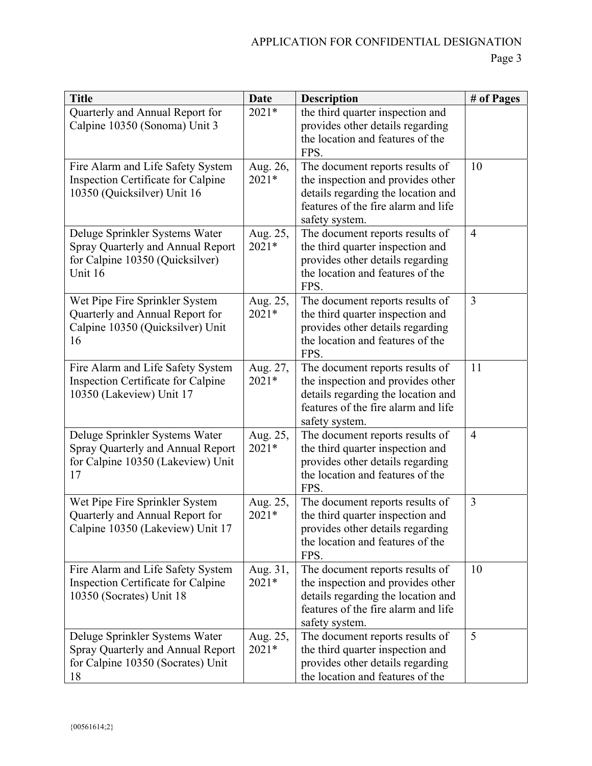| <b>Title</b>                                                                                                      | <b>Date</b>         | <b>Description</b>                                                                                                                                                  | # of Pages     |
|-------------------------------------------------------------------------------------------------------------------|---------------------|---------------------------------------------------------------------------------------------------------------------------------------------------------------------|----------------|
| Quarterly and Annual Report for<br>Calpine 10350 (Sonoma) Unit 3                                                  | $2021*$             | the third quarter inspection and<br>provides other details regarding<br>the location and features of the<br>FPS.                                                    |                |
| Fire Alarm and Life Safety System<br>Inspection Certificate for Calpine<br>10350 (Quicksilver) Unit 16            | Aug. 26,<br>2021*   | The document reports results of<br>the inspection and provides other<br>details regarding the location and<br>features of the fire alarm and life<br>safety system. | 10             |
| Deluge Sprinkler Systems Water<br>Spray Quarterly and Annual Report<br>for Calpine 10350 (Quicksilver)<br>Unit 16 | Aug. 25,<br>2021*   | The document reports results of<br>the third quarter inspection and<br>provides other details regarding<br>the location and features of the<br>FPS.                 | $\overline{4}$ |
| Wet Pipe Fire Sprinkler System<br>Quarterly and Annual Report for<br>Calpine 10350 (Quicksilver) Unit<br>16       | Aug. 25,<br>2021*   | The document reports results of<br>the third quarter inspection and<br>provides other details regarding<br>the location and features of the<br>FPS.                 | $\overline{3}$ |
| Fire Alarm and Life Safety System<br>Inspection Certificate for Calpine<br>10350 (Lakeview) Unit 17               | Aug. 27,<br>$2021*$ | The document reports results of<br>the inspection and provides other<br>details regarding the location and<br>features of the fire alarm and life<br>safety system. | 11             |
| Deluge Sprinkler Systems Water<br>Spray Quarterly and Annual Report<br>for Calpine 10350 (Lakeview) Unit<br>17    | Aug. 25,<br>$2021*$ | The document reports results of<br>the third quarter inspection and<br>provides other details regarding<br>the location and features of the<br>FPS.                 | $\overline{4}$ |
| Wet Pipe Fire Sprinkler System<br>Quarterly and Annual Report for<br>Calpine 10350 (Lakeview) Unit 17             | Aug. 25,<br>2021*   | The document reports results of<br>the third quarter inspection and<br>provides other details regarding<br>the location and features of the<br>FPS.                 | $\overline{3}$ |
| Fire Alarm and Life Safety System<br>Inspection Certificate for Calpine<br>10350 (Socrates) Unit 18               | Aug. 31,<br>$2021*$ | The document reports results of<br>the inspection and provides other<br>details regarding the location and<br>features of the fire alarm and life<br>safety system. | 10             |
| Deluge Sprinkler Systems Water<br>Spray Quarterly and Annual Report<br>for Calpine 10350 (Socrates) Unit<br>18    | Aug. 25,<br>2021*   | The document reports results of<br>the third quarter inspection and<br>provides other details regarding<br>the location and features of the                         | 5              |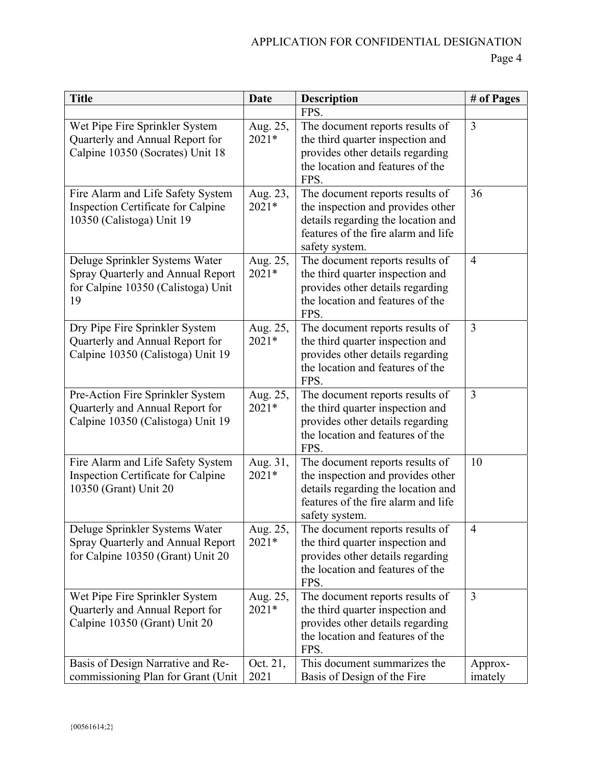## APPLICATION FOR CONFIDENTIAL DESIGNATION

| <b>Title</b>                                                                                                    | <b>Date</b>         | <b>Description</b>                                                                                                                                                  | # of Pages         |
|-----------------------------------------------------------------------------------------------------------------|---------------------|---------------------------------------------------------------------------------------------------------------------------------------------------------------------|--------------------|
|                                                                                                                 |                     | FPS.                                                                                                                                                                |                    |
| Wet Pipe Fire Sprinkler System<br>Quarterly and Annual Report for<br>Calpine 10350 (Socrates) Unit 18           | Aug. 25,<br>$2021*$ | The document reports results of<br>the third quarter inspection and<br>provides other details regarding<br>the location and features of the<br>FPS.                 | $\overline{3}$     |
| Fire Alarm and Life Safety System<br>Inspection Certificate for Calpine<br>10350 (Calistoga) Unit 19            | Aug. 23,<br>$2021*$ | The document reports results of<br>the inspection and provides other<br>details regarding the location and<br>features of the fire alarm and life<br>safety system. | 36                 |
| Deluge Sprinkler Systems Water<br>Spray Quarterly and Annual Report<br>for Calpine 10350 (Calistoga) Unit<br>19 | Aug. 25,<br>$2021*$ | The document reports results of<br>the third quarter inspection and<br>provides other details regarding<br>the location and features of the<br>FPS.                 | $\overline{4}$     |
| Dry Pipe Fire Sprinkler System<br>Quarterly and Annual Report for<br>Calpine 10350 (Calistoga) Unit 19          | Aug. 25,<br>$2021*$ | The document reports results of<br>the third quarter inspection and<br>provides other details regarding<br>the location and features of the<br>FPS.                 | $\overline{3}$     |
| Pre-Action Fire Sprinkler System<br>Quarterly and Annual Report for<br>Calpine 10350 (Calistoga) Unit 19        | Aug. 25,<br>$2021*$ | The document reports results of<br>the third quarter inspection and<br>provides other details regarding<br>the location and features of the<br>FPS.                 | 3                  |
| Fire Alarm and Life Safety System<br>Inspection Certificate for Calpine<br>10350 (Grant) Unit 20                | Aug. 31,<br>$2021*$ | The document reports results of<br>the inspection and provides other<br>details regarding the location and<br>features of the fire alarm and life<br>safety system. | 10                 |
| Deluge Sprinkler Systems Water<br>Spray Quarterly and Annual Report<br>for Calpine 10350 (Grant) Unit 20        | Aug. 25,<br>$2021*$ | The document reports results of<br>the third quarter inspection and<br>provides other details regarding<br>the location and features of the<br>FPS.                 | $\overline{4}$     |
| Wet Pipe Fire Sprinkler System<br>Quarterly and Annual Report for<br>Calpine 10350 (Grant) Unit 20              | Aug. 25,<br>2021*   | The document reports results of<br>the third quarter inspection and<br>provides other details regarding<br>the location and features of the<br>FPS.                 | $\overline{3}$     |
| Basis of Design Narrative and Re-<br>commissioning Plan for Grant (Unit                                         | Oct. 21,<br>2021    | This document summarizes the<br>Basis of Design of the Fire                                                                                                         | Approx-<br>imately |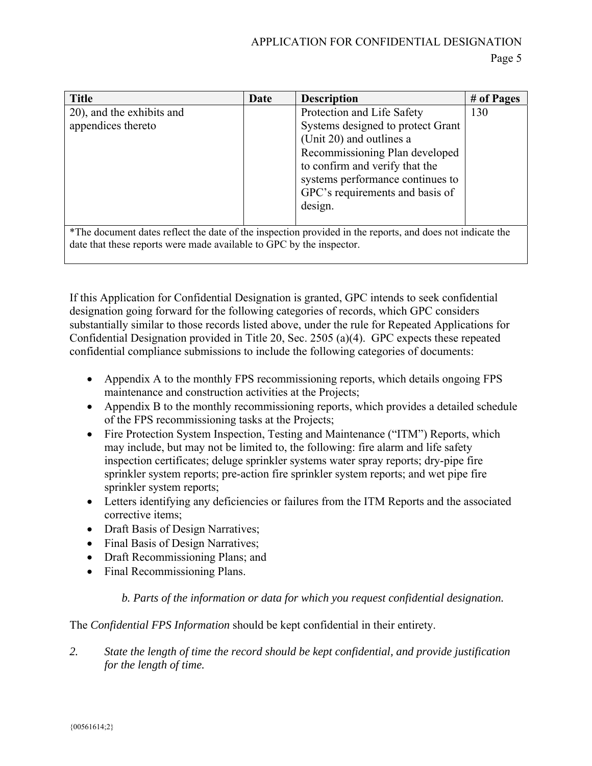| <b>Title</b>                                                                                                                                                                      | Date | <b>Description</b>                | # of Pages |
|-----------------------------------------------------------------------------------------------------------------------------------------------------------------------------------|------|-----------------------------------|------------|
| 20), and the exhibits and                                                                                                                                                         |      | Protection and Life Safety        | 130        |
| appendices thereto                                                                                                                                                                |      | Systems designed to protect Grant |            |
|                                                                                                                                                                                   |      | (Unit 20) and outlines a          |            |
|                                                                                                                                                                                   |      | Recommissioning Plan developed    |            |
|                                                                                                                                                                                   |      | to confirm and verify that the    |            |
|                                                                                                                                                                                   |      | systems performance continues to  |            |
|                                                                                                                                                                                   |      | GPC's requirements and basis of   |            |
|                                                                                                                                                                                   |      | design.                           |            |
|                                                                                                                                                                                   |      |                                   |            |
| *The document dates reflect the date of the inspection provided in the reports, and does not indicate the<br>date that these reports were made available to GPC by the inspector. |      |                                   |            |

If this Application for Confidential Designation is granted, GPC intends to seek confidential designation going forward for the following categories of records, which GPC considers substantially similar to those records listed above, under the rule for Repeated Applications for Confidential Designation provided in Title 20, Sec. 2505 (a)(4). GPC expects these repeated confidential compliance submissions to include the following categories of documents:

- Appendix A to the monthly FPS recommissioning reports, which details ongoing FPS maintenance and construction activities at the Projects;
- Appendix B to the monthly recommissioning reports, which provides a detailed schedule of the FPS recommissioning tasks at the Projects;
- Fire Protection System Inspection, Testing and Maintenance ("ITM") Reports, which may include, but may not be limited to, the following: fire alarm and life safety inspection certificates; deluge sprinkler systems water spray reports; dry-pipe fire sprinkler system reports; pre-action fire sprinkler system reports; and wet pipe fire sprinkler system reports;
- Letters identifying any deficiencies or failures from the ITM Reports and the associated corrective items;
- Draft Basis of Design Narratives;
- Final Basis of Design Narratives;
- Draft Recommissioning Plans; and
- Final Recommissioning Plans.

*b. Parts of the information or data for which you request confidential designation.* 

The *Confidential FPS Information* should be kept confidential in their entirety.

*2. State the length of time the record should be kept confidential, and provide justification for the length of time.*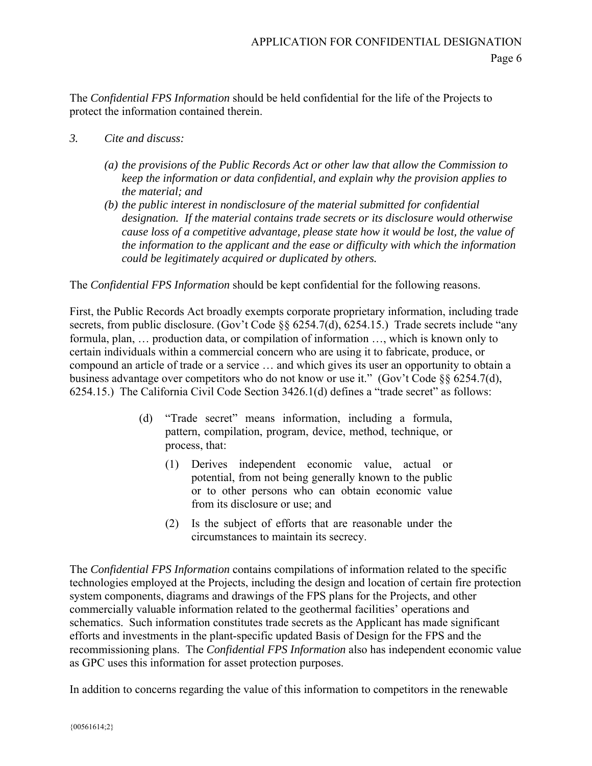The *Confidential FPS Information* should be held confidential for the life of the Projects to protect the information contained therein.

- *3. Cite and discuss:* 
	- *(a) the provisions of the Public Records Act or other law that allow the Commission to keep the information or data confidential, and explain why the provision applies to the material; and*
	- *(b) the public interest in nondisclosure of the material submitted for confidential designation. If the material contains trade secrets or its disclosure would otherwise cause loss of a competitive advantage, please state how it would be lost, the value of the information to the applicant and the ease or difficulty with which the information could be legitimately acquired or duplicated by others.*

The *Confidential FPS Information* should be kept confidential for the following reasons.

First, the Public Records Act broadly exempts corporate proprietary information, including trade secrets, from public disclosure. (Gov't Code  $\&$  6254.7(d), 6254.15.) Trade secrets include "any formula, plan, … production data, or compilation of information …, which is known only to certain individuals within a commercial concern who are using it to fabricate, produce, or compound an article of trade or a service … and which gives its user an opportunity to obtain a business advantage over competitors who do not know or use it." (Gov't Code §§ 6254.7(d), 6254.15.) The California Civil Code Section 3426.1(d) defines a "trade secret" as follows:

- (d) "Trade secret" means information, including a formula, pattern, compilation, program, device, method, technique, or process, that:
	- (1) Derives independent economic value, actual or potential, from not being generally known to the public or to other persons who can obtain economic value from its disclosure or use; and
	- (2) Is the subject of efforts that are reasonable under the circumstances to maintain its secrecy.

The *Confidential FPS Information* contains compilations of information related to the specific technologies employed at the Projects, including the design and location of certain fire protection system components, diagrams and drawings of the FPS plans for the Projects, and other commercially valuable information related to the geothermal facilities' operations and schematics. Such information constitutes trade secrets as the Applicant has made significant efforts and investments in the plant-specific updated Basis of Design for the FPS and the recommissioning plans. The *Confidential FPS Information* also has independent economic value as GPC uses this information for asset protection purposes.

In addition to concerns regarding the value of this information to competitors in the renewable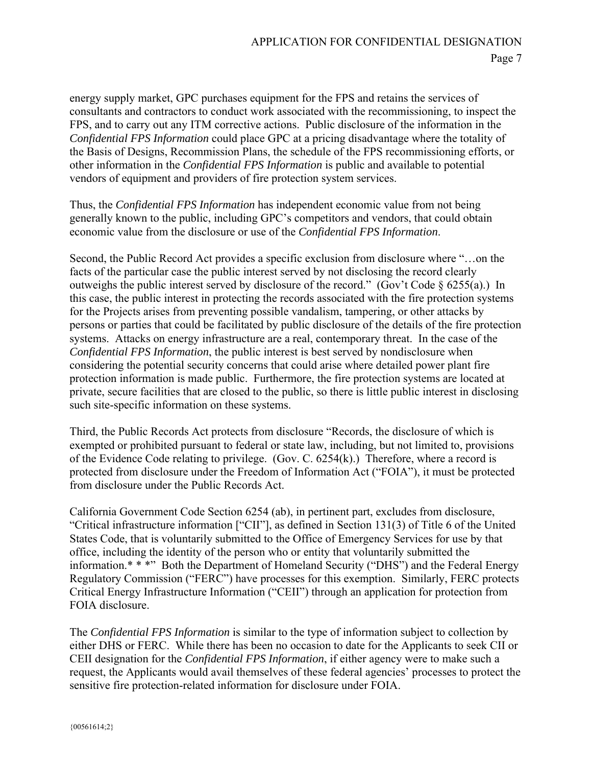energy supply market, GPC purchases equipment for the FPS and retains the services of consultants and contractors to conduct work associated with the recommissioning, to inspect the FPS, and to carry out any ITM corrective actions. Public disclosure of the information in the *Confidential FPS Information* could place GPC at a pricing disadvantage where the totality of the Basis of Designs, Recommission Plans, the schedule of the FPS recommissioning efforts, or other information in the *Confidential FPS Information* is public and available to potential vendors of equipment and providers of fire protection system services.

Thus, the *Confidential FPS Information* has independent economic value from not being generally known to the public, including GPC's competitors and vendors, that could obtain economic value from the disclosure or use of the *Confidential FPS Information*.

Second, the Public Record Act provides a specific exclusion from disclosure where "…on the facts of the particular case the public interest served by not disclosing the record clearly outweighs the public interest served by disclosure of the record." (Gov't Code  $\S$  6255(a).) In this case, the public interest in protecting the records associated with the fire protection systems for the Projects arises from preventing possible vandalism, tampering, or other attacks by persons or parties that could be facilitated by public disclosure of the details of the fire protection systems. Attacks on energy infrastructure are a real, contemporary threat. In the case of the *Confidential FPS Information*, the public interest is best served by nondisclosure when considering the potential security concerns that could arise where detailed power plant fire protection information is made public. Furthermore, the fire protection systems are located at private, secure facilities that are closed to the public, so there is little public interest in disclosing such site-specific information on these systems.

Third, the Public Records Act protects from disclosure "Records, the disclosure of which is exempted or prohibited pursuant to federal or state law, including, but not limited to, provisions of the Evidence Code relating to privilege. (Gov. C. 6254(k).) Therefore, where a record is protected from disclosure under the Freedom of Information Act ("FOIA"), it must be protected from disclosure under the Public Records Act.

California Government Code Section 6254 (ab), in pertinent part, excludes from disclosure, "Critical infrastructure information ["CII"], as defined in Section 131(3) of Title 6 of the United States Code, that is voluntarily submitted to the Office of Emergency Services for use by that office, including the identity of the person who or entity that voluntarily submitted the information.\* \* \*" Both the Department of Homeland Security ("DHS") and the Federal Energy Regulatory Commission ("FERC") have processes for this exemption. Similarly, FERC protects Critical Energy Infrastructure Information ("CEII") through an application for protection from FOIA disclosure.

The *Confidential FPS Information* is similar to the type of information subject to collection by either DHS or FERC. While there has been no occasion to date for the Applicants to seek CII or CEII designation for the *Confidential FPS Information*, if either agency were to make such a request, the Applicants would avail themselves of these federal agencies' processes to protect the sensitive fire protection-related information for disclosure under FOIA.